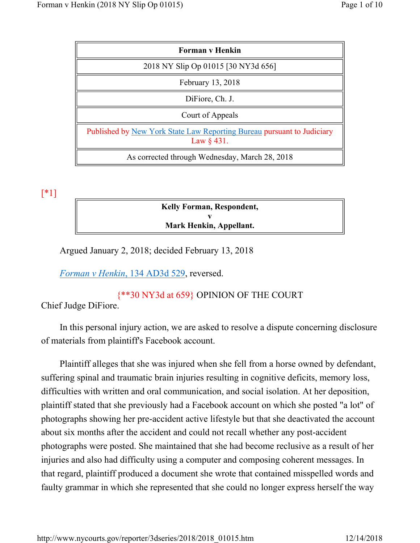| <b>Forman v Henkin</b>                                                                  |
|-----------------------------------------------------------------------------------------|
| 2018 NY Slip Op 01015 [30 NY3d 656]                                                     |
| February 13, 2018                                                                       |
| DiFiore, Ch. J.                                                                         |
| Court of Appeals                                                                        |
| Published by New York State Law Reporting Bureau pursuant to Judiciary<br>Law $\S$ 431. |
| As corrected through Wednesday, March 28, 2018                                          |

[\*1]

## **Kelly Forman, Respondent, v Mark Henkin, Appellant.**

Argued January 2, 2018; decided February 13, 2018

*Forman v Henkin*, 134 AD3d 529, reversed.

{\*\*30 NY3d at 659} OPINION OF THE COURT Chief Judge DiFiore.

In this personal injury action, we are asked to resolve a dispute concerning disclosure of materials from plaintiff's Facebook account.

Plaintiff alleges that she was injured when she fell from a horse owned by defendant, suffering spinal and traumatic brain injuries resulting in cognitive deficits, memory loss, difficulties with written and oral communication, and social isolation. At her deposition, plaintiff stated that she previously had a Facebook account on which she posted "a lot" of photographs showing her pre-accident active lifestyle but that she deactivated the account about six months after the accident and could not recall whether any post-accident photographs were posted. She maintained that she had become reclusive as a result of her injuries and also had difficulty using a computer and composing coherent messages. In that regard, plaintiff produced a document she wrote that contained misspelled words and faulty grammar in which she represented that she could no longer express herself the way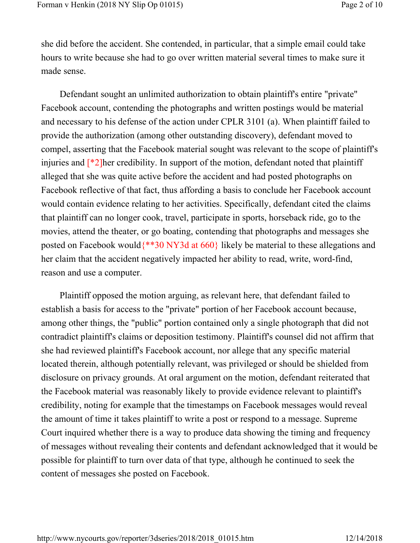she did before the accident. She contended, in particular, that a simple email could take hours to write because she had to go over written material several times to make sure it made sense.

Defendant sought an unlimited authorization to obtain plaintiff's entire "private" Facebook account, contending the photographs and written postings would be material and necessary to his defense of the action under CPLR 3101 (a). When plaintiff failed to provide the authorization (among other outstanding discovery), defendant moved to compel, asserting that the Facebook material sought was relevant to the scope of plaintiff's injuries and  $\lceil *2 \rceil$  her credibility. In support of the motion, defendant noted that plaintiff alleged that she was quite active before the accident and had posted photographs on Facebook reflective of that fact, thus affording a basis to conclude her Facebook account would contain evidence relating to her activities. Specifically, defendant cited the claims that plaintiff can no longer cook, travel, participate in sports, horseback ride, go to the movies, attend the theater, or go boating, contending that photographs and messages she posted on Facebook would{\*\*30 NY3d at 660} likely be material to these allegations and her claim that the accident negatively impacted her ability to read, write, word-find, reason and use a computer.

Plaintiff opposed the motion arguing, as relevant here, that defendant failed to establish a basis for access to the "private" portion of her Facebook account because, among other things, the "public" portion contained only a single photograph that did not contradict plaintiff's claims or deposition testimony. Plaintiff's counsel did not affirm that she had reviewed plaintiff's Facebook account, nor allege that any specific material located therein, although potentially relevant, was privileged or should be shielded from disclosure on privacy grounds. At oral argument on the motion, defendant reiterated that the Facebook material was reasonably likely to provide evidence relevant to plaintiff's credibility, noting for example that the timestamps on Facebook messages would reveal the amount of time it takes plaintiff to write a post or respond to a message. Supreme Court inquired whether there is a way to produce data showing the timing and frequency of messages without revealing their contents and defendant acknowledged that it would be possible for plaintiff to turn over data of that type, although he continued to seek the content of messages she posted on Facebook.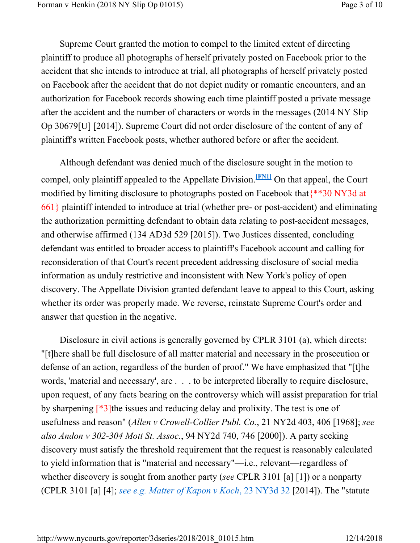Supreme Court granted the motion to compel to the limited extent of directing plaintiff to produce all photographs of herself privately posted on Facebook prior to the accident that she intends to introduce at trial, all photographs of herself privately posted on Facebook after the accident that do not depict nudity or romantic encounters, and an authorization for Facebook records showing each time plaintiff posted a private message after the accident and the number of characters or words in the messages (2014 NY Slip Op 30679[U] [2014]). Supreme Court did not order disclosure of the content of any of plaintiff's written Facebook posts, whether authored before or after the accident.

Although defendant was denied much of the disclosure sought in the motion to compel, only plaintiff appealed to the Appellate Division.<sup>[FN1]</sup> On that appeal, the Court modified by limiting disclosure to photographs posted on Facebook that{\*\*30 NY3d at 661} plaintiff intended to introduce at trial (whether pre- or post-accident) and eliminating the authorization permitting defendant to obtain data relating to post-accident messages, and otherwise affirmed (134 AD3d 529 [2015]). Two Justices dissented, concluding defendant was entitled to broader access to plaintiff's Facebook account and calling for reconsideration of that Court's recent precedent addressing disclosure of social media information as unduly restrictive and inconsistent with New York's policy of open discovery. The Appellate Division granted defendant leave to appeal to this Court, asking whether its order was properly made. We reverse, reinstate Supreme Court's order and answer that question in the negative.

Disclosure in civil actions is generally governed by CPLR 3101 (a), which directs: "[t]here shall be full disclosure of all matter material and necessary in the prosecution or defense of an action, regardless of the burden of proof." We have emphasized that "[t]he words, 'material and necessary', are . . . to be interpreted liberally to require disclosure, upon request, of any facts bearing on the controversy which will assist preparation for trial by sharpening [\*3]the issues and reducing delay and prolixity. The test is one of usefulness and reason" (*Allen v Crowell-Collier Publ. Co.*, 21 NY2d 403, 406 [1968]; *see also Andon v 302-304 Mott St. Assoc.*, 94 NY2d 740, 746 [2000]). A party seeking discovery must satisfy the threshold requirement that the request is reasonably calculated to yield information that is "material and necessary"—i.e., relevant—regardless of whether discovery is sought from another party (*see* CPLR 3101 [a] [1]) or a nonparty (CPLR 3101 [a] [4]; *see e.g. Matter of Kapon v Koch*, 23 NY3d 32 [2014]). The "statute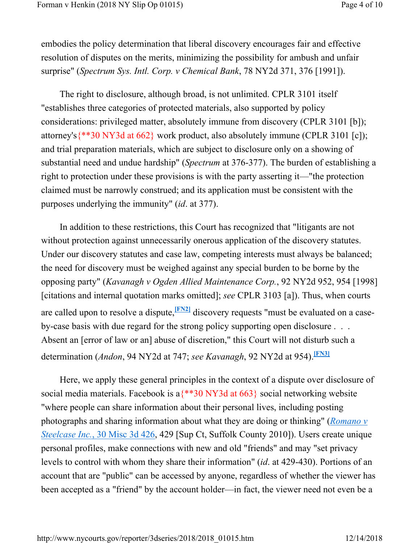embodies the policy determination that liberal discovery encourages fair and effective resolution of disputes on the merits, minimizing the possibility for ambush and unfair surprise" (*Spectrum Sys. Intl. Corp. v Chemical Bank*, 78 NY2d 371, 376 [1991]).

The right to disclosure, although broad, is not unlimited. CPLR 3101 itself "establishes three categories of protected materials, also supported by policy considerations: privileged matter, absolutely immune from discovery (CPLR 3101 [b]); attorney's{\*\*30 NY3d at 662} work product, also absolutely immune (CPLR 3101 [c]); and trial preparation materials, which are subject to disclosure only on a showing of substantial need and undue hardship" (*Spectrum* at 376-377). The burden of establishing a right to protection under these provisions is with the party asserting it—"the protection claimed must be narrowly construed; and its application must be consistent with the purposes underlying the immunity" (*id*. at 377).

In addition to these restrictions, this Court has recognized that "litigants are not without protection against unnecessarily onerous application of the discovery statutes. Under our discovery statutes and case law, competing interests must always be balanced; the need for discovery must be weighed against any special burden to be borne by the opposing party" (*Kavanagh v Ogden Allied Maintenance Corp.*, 92 NY2d 952, 954 [1998] [citations and internal quotation marks omitted]; *see* CPLR 3103 [a]). Thus, when courts are called upon to resolve a dispute,**[FN2]** discovery requests "must be evaluated on a caseby-case basis with due regard for the strong policy supporting open disclosure . . . Absent an [error of law or an] abuse of discretion," this Court will not disturb such a determination (*Andon*, 94 NY2d at 747; *see Kavanagh*, 92 NY2d at 954).**[FN3]**

Here, we apply these general principles in the context of a dispute over disclosure of social media materials. Facebook is  $a$ <sup>\*\*</sup>30 NY3d at 663} social networking website "where people can share information about their personal lives, including posting photographs and sharing information about what they are doing or thinking" (*Romano v Steelcase Inc.*, 30 Misc 3d 426, 429 [Sup Ct, Suffolk County 2010]). Users create unique personal profiles, make connections with new and old "friends" and may "set privacy levels to control with whom they share their information" (*id*. at 429-430). Portions of an account that are "public" can be accessed by anyone, regardless of whether the viewer has been accepted as a "friend" by the account holder—in fact, the viewer need not even be a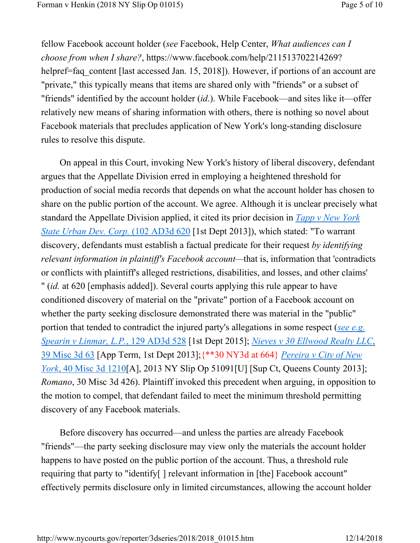fellow Facebook account holder (*see* Facebook, Help Center, *What audiences can I choose from when I share?*, https://www.facebook.com/help/211513702214269? helpref=faq\_content [last accessed Jan. 15, 2018]). However, if portions of an account are "private," this typically means that items are shared only with "friends" or a subset of "friends" identified by the account holder (*id*.). While Facebook—and sites like it—offer relatively new means of sharing information with others, there is nothing so novel about Facebook materials that precludes application of New York's long-standing disclosure rules to resolve this dispute.

On appeal in this Court, invoking New York's history of liberal discovery, defendant argues that the Appellate Division erred in employing a heightened threshold for production of social media records that depends on what the account holder has chosen to share on the public portion of the account. We agree. Although it is unclear precisely what standard the Appellate Division applied, it cited its prior decision in *Tapp v New York State Urban Dev. Corp.* (102 AD3d 620 [1st Dept 2013]), which stated: "To warrant discovery, defendants must establish a factual predicate for their request *by identifying relevant information in plaintiff's Facebook account—*that is, information that 'contradicts or conflicts with plaintiff's alleged restrictions, disabilities, and losses, and other claims' " (*id.* at 620 [emphasis added]). Several courts applying this rule appear to have conditioned discovery of material on the "private" portion of a Facebook account on whether the party seeking disclosure demonstrated there was material in the "public" portion that tended to contradict the injured party's allegations in some respect (*see e.g. Spearin v Linmar, L.P.*, 129 AD3d 528 [1st Dept 2015]; *Nieves v 30 Ellwood Realty LLC*, 39 Misc 3d 63 [App Term, 1st Dept 2013];{\*\*30 NY3d at 664} *Pereira v City of New York*, 40 Misc 3d 1210[A], 2013 NY Slip Op 51091[U] [Sup Ct, Queens County 2013]; *Romano*, 30 Misc 3d 426). Plaintiff invoked this precedent when arguing, in opposition to the motion to compel, that defendant failed to meet the minimum threshold permitting discovery of any Facebook materials.

Before discovery has occurred—and unless the parties are already Facebook "friends"—the party seeking disclosure may view only the materials the account holder happens to have posted on the public portion of the account. Thus, a threshold rule requiring that party to "identify[ ] relevant information in [the] Facebook account" effectively permits disclosure only in limited circumstances, allowing the account holder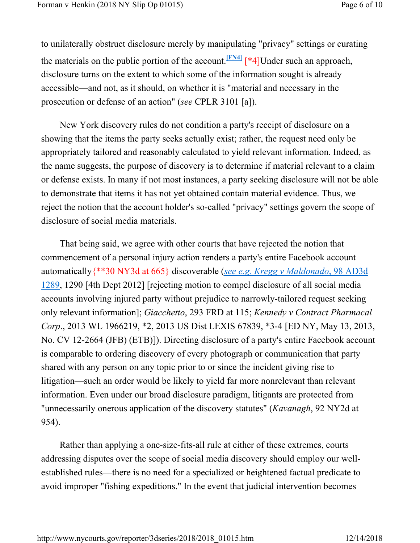to unilaterally obstruct disclosure merely by manipulating "privacy" settings or curating the materials on the public portion of the account.**[FN4]** [\*4]Under such an approach, disclosure turns on the extent to which some of the information sought is already accessible—and not, as it should, on whether it is "material and necessary in the prosecution or defense of an action" (*see* CPLR 3101 [a]).

New York discovery rules do not condition a party's receipt of disclosure on a showing that the items the party seeks actually exist; rather, the request need only be appropriately tailored and reasonably calculated to yield relevant information. Indeed, as the name suggests, the purpose of discovery is to determine if material relevant to a claim or defense exists. In many if not most instances, a party seeking disclosure will not be able to demonstrate that items it has not yet obtained contain material evidence. Thus, we reject the notion that the account holder's so-called "privacy" settings govern the scope of disclosure of social media materials.

That being said, we agree with other courts that have rejected the notion that commencement of a personal injury action renders a party's entire Facebook account automatically{\*\*30 NY3d at 665} discoverable (*see e.g. Kregg v Maldonado*, 98 AD3d 1289, 1290 [4th Dept 2012] [rejecting motion to compel disclosure of all social media accounts involving injured party without prejudice to narrowly-tailored request seeking only relevant information]; *Giacchetto*, 293 FRD at 115; *Kennedy v Contract Pharmacal Corp*., 2013 WL 1966219, \*2, 2013 US Dist LEXIS 67839, \*3-4 [ED NY, May 13, 2013, No. CV 12-2664 (JFB) (ETB)]). Directing disclosure of a party's entire Facebook account is comparable to ordering discovery of every photograph or communication that party shared with any person on any topic prior to or since the incident giving rise to litigation—such an order would be likely to yield far more nonrelevant than relevant information. Even under our broad disclosure paradigm, litigants are protected from "unnecessarily onerous application of the discovery statutes" (*Kavanagh*, 92 NY2d at 954).

Rather than applying a one-size-fits-all rule at either of these extremes, courts addressing disputes over the scope of social media discovery should employ our wellestablished rules—there is no need for a specialized or heightened factual predicate to avoid improper "fishing expeditions." In the event that judicial intervention becomes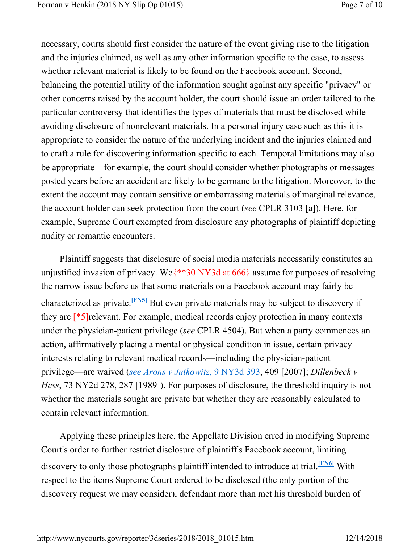necessary, courts should first consider the nature of the event giving rise to the litigation and the injuries claimed, as well as any other information specific to the case, to assess whether relevant material is likely to be found on the Facebook account. Second, balancing the potential utility of the information sought against any specific "privacy" or other concerns raised by the account holder, the court should issue an order tailored to the particular controversy that identifies the types of materials that must be disclosed while avoiding disclosure of nonrelevant materials. In a personal injury case such as this it is appropriate to consider the nature of the underlying incident and the injuries claimed and to craft a rule for discovering information specific to each. Temporal limitations may also be appropriate—for example, the court should consider whether photographs or messages posted years before an accident are likely to be germane to the litigation. Moreover, to the extent the account may contain sensitive or embarrassing materials of marginal relevance, the account holder can seek protection from the court (*see* CPLR 3103 [a]). Here, for example, Supreme Court exempted from disclosure any photographs of plaintiff depicting nudity or romantic encounters.

Plaintiff suggests that disclosure of social media materials necessarily constitutes an unjustified invasion of privacy. We  $\{\ast\ast\30\}$  NY3d at 666} assume for purposes of resolving the narrow issue before us that some materials on a Facebook account may fairly be characterized as private.**[FN5]** But even private materials may be subject to discovery if they are [\*5]relevant. For example, medical records enjoy protection in many contexts under the physician-patient privilege (*see* CPLR 4504). But when a party commences an action, affirmatively placing a mental or physical condition in issue, certain privacy interests relating to relevant medical records—including the physician-patient privilege—are waived (*see Arons v Jutkowitz*, 9 NY3d 393, 409 [2007]; *Dillenbeck v Hess*, 73 NY2d 278, 287 [1989]). For purposes of disclosure, the threshold inquiry is not whether the materials sought are private but whether they are reasonably calculated to contain relevant information.

Applying these principles here, the Appellate Division erred in modifying Supreme Court's order to further restrict disclosure of plaintiff's Facebook account, limiting discovery to only those photographs plaintiff intended to introduce at trial.**[FN6]** With respect to the items Supreme Court ordered to be disclosed (the only portion of the discovery request we may consider), defendant more than met his threshold burden of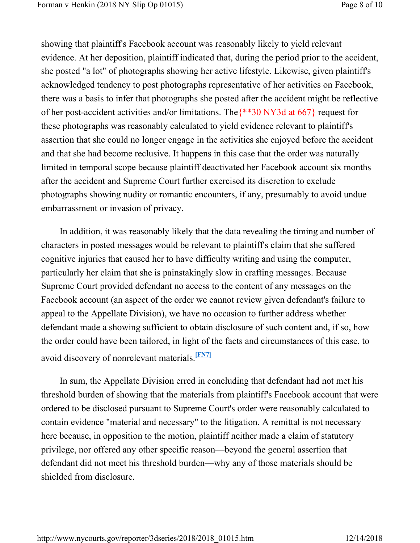showing that plaintiff's Facebook account was reasonably likely to yield relevant evidence. At her deposition, plaintiff indicated that, during the period prior to the accident, she posted "a lot" of photographs showing her active lifestyle. Likewise, given plaintiff's acknowledged tendency to post photographs representative of her activities on Facebook, there was a basis to infer that photographs she posted after the accident might be reflective of her post-accident activities and/or limitations. The{\*\*30 NY3d at 667} request for these photographs was reasonably calculated to yield evidence relevant to plaintiff's assertion that she could no longer engage in the activities she enjoyed before the accident and that she had become reclusive. It happens in this case that the order was naturally limited in temporal scope because plaintiff deactivated her Facebook account six months after the accident and Supreme Court further exercised its discretion to exclude photographs showing nudity or romantic encounters, if any, presumably to avoid undue embarrassment or invasion of privacy.

In addition, it was reasonably likely that the data revealing the timing and number of characters in posted messages would be relevant to plaintiff's claim that she suffered cognitive injuries that caused her to have difficulty writing and using the computer, particularly her claim that she is painstakingly slow in crafting messages. Because Supreme Court provided defendant no access to the content of any messages on the Facebook account (an aspect of the order we cannot review given defendant's failure to appeal to the Appellate Division), we have no occasion to further address whether defendant made a showing sufficient to obtain disclosure of such content and, if so, how the order could have been tailored, in light of the facts and circumstances of this case, to avoid discovery of nonrelevant materials.**[FN7]**

In sum, the Appellate Division erred in concluding that defendant had not met his threshold burden of showing that the materials from plaintiff's Facebook account that were ordered to be disclosed pursuant to Supreme Court's order were reasonably calculated to contain evidence "material and necessary" to the litigation. A remittal is not necessary here because, in opposition to the motion, plaintiff neither made a claim of statutory privilege, nor offered any other specific reason—beyond the general assertion that defendant did not meet his threshold burden—why any of those materials should be shielded from disclosure.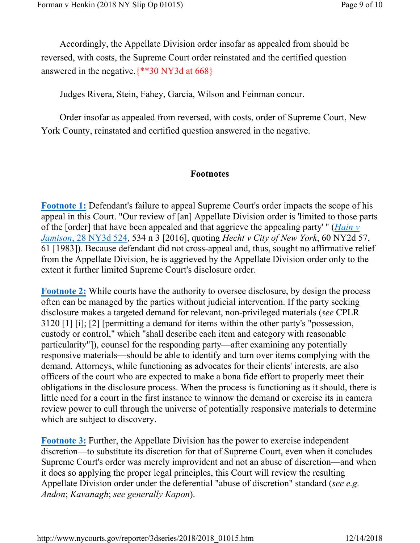Accordingly, the Appellate Division order insofar as appealed from should be reversed, with costs, the Supreme Court order reinstated and the certified question answered in the negative.  $\{***30\text{ NY}3d \text{ at } 668\}$ 

Judges Rivera, Stein, Fahey, Garcia, Wilson and Feinman concur.

Order insofar as appealed from reversed, with costs, order of Supreme Court, New York County, reinstated and certified question answered in the negative.

## **Footnotes**

**Footnote 1:** Defendant's failure to appeal Supreme Court's order impacts the scope of his appeal in this Court. "Our review of [an] Appellate Division order is 'limited to those parts of the [order] that have been appealed and that aggrieve the appealing party' " (*Hain v Jamison*, 28 NY3d 524, 534 n 3 [2016], quoting *Hecht v City of New York*, 60 NY2d 57, 61 [1983]). Because defendant did not cross-appeal and, thus, sought no affirmative relief from the Appellate Division, he is aggrieved by the Appellate Division order only to the extent it further limited Supreme Court's disclosure order.

**Footnote 2:** While courts have the authority to oversee disclosure, by design the process often can be managed by the parties without judicial intervention. If the party seeking disclosure makes a targeted demand for relevant, non-privileged materials (*see* CPLR 3120 [1] [i]; [2] [permitting a demand for items within the other party's "possession, custody or control," which "shall describe each item and category with reasonable particularity"]), counsel for the responding party—after examining any potentially responsive materials—should be able to identify and turn over items complying with the demand. Attorneys, while functioning as advocates for their clients' interests, are also officers of the court who are expected to make a bona fide effort to properly meet their obligations in the disclosure process. When the process is functioning as it should, there is little need for a court in the first instance to winnow the demand or exercise its in camera review power to cull through the universe of potentially responsive materials to determine which are subject to discovery.

**Footnote 3:** Further, the Appellate Division has the power to exercise independent discretion—to substitute its discretion for that of Supreme Court, even when it concludes Supreme Court's order was merely improvident and not an abuse of discretion—and when it does so applying the proper legal principles, this Court will review the resulting Appellate Division order under the deferential "abuse of discretion" standard (*see e.g. Andon*; *Kavanagh*; *see generally Kapon*).